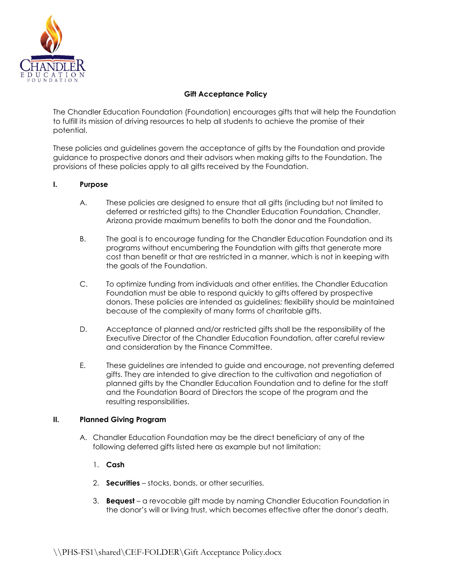

## Gift Acceptance Policy

The Chandler Education Foundation (Foundation) encourages gifts that will help the Foundation to fulfill its mission of driving resources to help all students to achieve the promise of their potential.

These policies and guidelines govern the acceptance of gifts by the Foundation and provide guidance to prospective donors and their advisors when making gifts to the Foundation. The provisions of these policies apply to all gifts received by the Foundation.

## I. Purpose

- A. These policies are designed to ensure that all gifts (including but not limited to deferred or restricted gifts) to the Chandler Education Foundation, Chandler, Arizona provide maximum benefits to both the donor and the Foundation.
- B. The goal is to encourage funding for the Chandler Education Foundation and its programs without encumbering the Foundation with gifts that generate more cost than benefit or that are restricted in a manner, which is not in keeping with the goals of the Foundation.
- C. To optimize funding from individuals and other entities, the Chandler Education Foundation must be able to respond quickly to gifts offered by prospective donors. These policies are intended as guidelines; flexibility should be maintained because of the complexity of many forms of charitable gifts.
- D. Acceptance of planned and/or restricted gifts shall be the responsibility of the Executive Director of the Chandler Education Foundation, after careful review and consideration by the Finance Committee.
- E. These guidelines are intended to guide and encourage, not preventing deferred gifts. They are intended to give direction to the cultivation and negotiation of planned gifts by the Chandler Education Foundation and to define for the staff and the Foundation Board of Directors the scope of the program and the resulting responsibilities.

#### II. Planned Giving Program

A. Chandler Education Foundation may be the direct beneficiary of any of the following deferred gifts listed here as example but not limitation:

# 1. Cash

- 2. **Securities** stocks, bonds, or other securities.
- 3. Bequest a revocable gift made by naming Chandler Education Foundation in the donor's will or living trust, which becomes effective after the donor's death.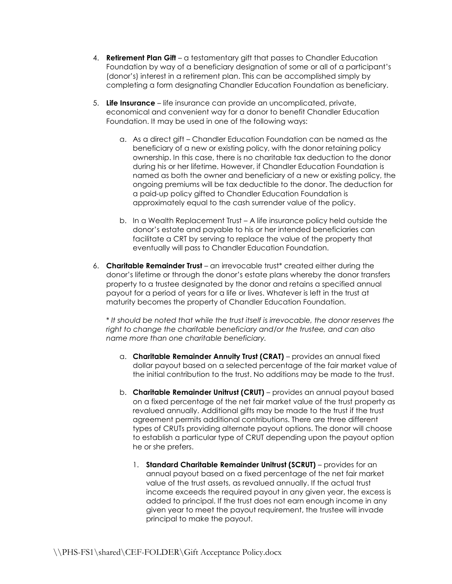- 4. **Retirement Plan Gift** a testamentary gift that passes to Chandler Education Foundation by way of a beneficiary designation of some or all of a participant's (donor's) interest in a retirement plan. This can be accomplished simply by completing a form designating Chandler Education Foundation as beneficiary.
- 5. Life Insurance life insurance can provide an uncomplicated, private, economical and convenient way for a donor to benefit Chandler Education Foundation. It may be used in one of the following ways:
	- a. As a direct gift Chandler Education Foundation can be named as the beneficiary of a new or existing policy, with the donor retaining policy ownership. In this case, there is no charitable tax deduction to the donor during his or her lifetime. However, if Chandler Education Foundation is named as both the owner and beneficiary of a new or existing policy, the ongoing premiums will be tax deductible to the donor. The deduction for a paid-up policy gifted to Chandler Education Foundation is approximately equal to the cash surrender value of the policy.
	- b. In a Wealth Replacement Trust A life insurance policy held outside the donor's estate and payable to his or her intended beneficiaries can facilitate a CRT by serving to replace the value of the property that eventually will pass to Chandler Education Foundation.
- 6. Charitable Remainder Trust an irrevocable trust\* created either during the donor's lifetime or through the donor's estate plans whereby the donor transfers property to a trustee designated by the donor and retains a specified annual payout for a period of years for a life or lives. Whatever is left in the trust at maturity becomes the property of Chandler Education Foundation.

 \* It should be noted that while the trust itself is irrevocable, the donor reserves the right to change the charitable beneficiary and/or the trustee, and can also name more than one charitable beneficiary.

- a. Charitable Remainder Annuity Trust (CRAT) provides an annual fixed dollar payout based on a selected percentage of the fair market value of the initial contribution to the trust. No additions may be made to the trust.
- b. Charitable Remainder Unitrust (CRUT) provides an annual payout based on a fixed percentage of the net fair market value of the trust property as revalued annually. Additional gifts may be made to the trust if the trust agreement permits additional contributions. There are three different types of CRUTs providing alternate payout options. The donor will choose to establish a particular type of CRUT depending upon the payout option he or she prefers.
	- 1. Standard Charitable Remainder Unitrust (SCRUT) provides for an annual payout based on a fixed percentage of the net fair market value of the trust assets, as revalued annually. If the actual trust income exceeds the required payout in any given year, the excess is added to principal. If the trust does not earn enough income in any given year to meet the payout requirement, the trustee will invade principal to make the payout.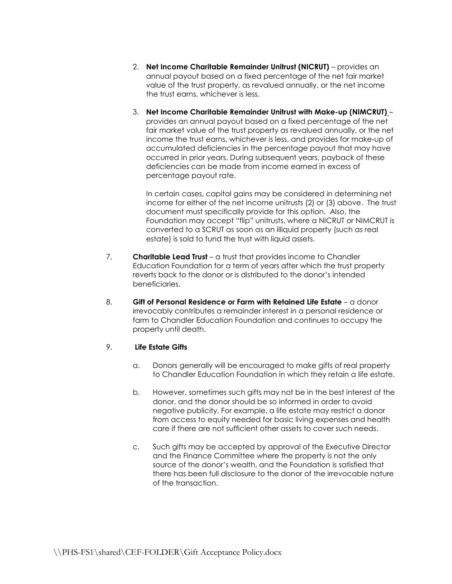- 2. Net Income Charitable Remainder Unitrust (NICRUT) provides an annual payout based on a fixed percentage of the net fair market value of the trust property, as revalued annually, or the net income the trust earns, whichever is less.
- 3. Net Income Charitable Remainder Unitrust with Make-up (NIMCRUT) provides an annual payout based on a fixed percentage of the net fair market value of the trust property as revalued annually, or the net income the trust earns, whichever is less, and provides for make-up of accumulated deficiencies in the percentage payout that may have occurred in prior years. During subsequent years, payback of these deficiencies can be made from income earned in excess of percentage payout rate.

In certain cases, capital gains may be considered in determining net income for either of the net income unitrusts (2) or (3) above. The trust document must specifically provide for this option. Also, the Foundation may accept "flip" unitrusts, where a NICRUT or NIMCRUT is converted to a SCRUT as soon as an illiquid property (such as real estate) is sold to fund the trust with liquid assets.

- 7. **Charitable Lead Trust** a trust that provides income to Chandler Education Foundation for a term of years after which the trust property reverts back to the donor or is distributed to the donor's intended beneficiaries.
- 8. Gift of Personal Residence or Farm with Retained Life Estate a donor irrevocably contributes a remainder interest in a personal residence or farm to Chandler Education Foundation and continues to occupy the property until death.

# 9. Life Estate Gifts

- a. Donors generally will be encouraged to make gifts of real property to Chandler Education Foundation in which they retain a life estate.
- b. However, sometimes such gifts may not be in the best interest of the donor, and the donor should be so informed in order to avoid negative publicity. For example, a life estate may restrict a donor from access to equity needed for basic living expenses and health care if there are not sufficient other assets to cover such needs.
- c. Such gifts may be accepted by approval of the Executive Director and the Finance Committee where the property is not the only source of the donor's wealth, and the Foundation is satisfied that there has been full disclosure to the donor of the irrevocable nature of the transaction.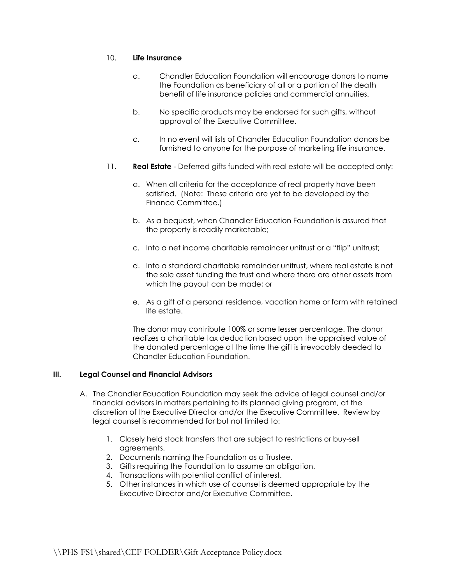#### 10. Life Insurance

- a. Chandler Education Foundation will encourage donors to name the Foundation as beneficiary of all or a portion of the death benefit of life insurance policies and commercial annuities.
- b. No specific products may be endorsed for such gifts, without approval of the Executive Committee.
- c. In no event will lists of Chandler Education Foundation donors be furnished to anyone for the purpose of marketing life insurance.
- 11. Real Estate Deferred gifts funded with real estate will be accepted only:
	- a. When all criteria for the acceptance of real property have been satisfied. (Note: These criteria are yet to be developed by the Finance Committee.)
	- b. As a bequest, when Chandler Education Foundation is assured that the property is readily marketable;
	- c. Into a net income charitable remainder unitrust or a "flip" unitrust;
	- d. Into a standard charitable remainder unitrust, where real estate is not the sole asset funding the trust and where there are other assets from which the payout can be made; or
	- e. As a gift of a personal residence, vacation home or farm with retained life estate.

 The donor may contribute 100% or some lesser percentage. The donor realizes a charitable tax deduction based upon the appraised value of the donated percentage at the time the gift is irrevocably deeded to Chandler Education Foundation.

#### III. Legal Counsel and Financial Advisors

- A. The Chandler Education Foundation may seek the advice of legal counsel and/or financial advisors in matters pertaining to its planned giving program, at the discretion of the Executive Director and/or the Executive Committee. Review by legal counsel is recommended for but not limited to:
	- 1. Closely held stock transfers that are subject to restrictions or buy-sell agreements.
	- 2. Documents naming the Foundation as a Trustee.
	- 3. Gifts requiring the Foundation to assume an obligation.
	- 4. Transactions with potential conflict of interest.
	- 5. Other instances in which use of counsel is deemed appropriate by the Executive Director and/or Executive Committee.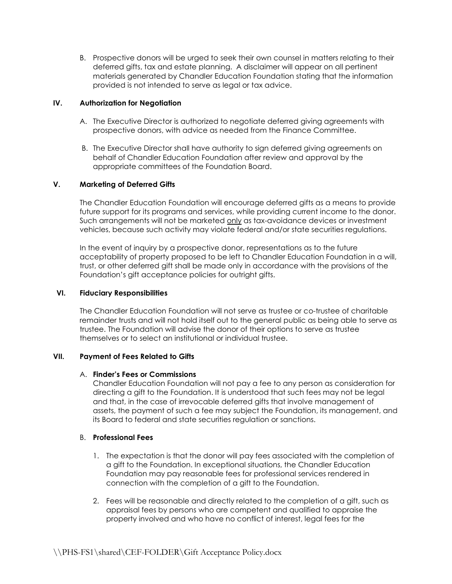B. Prospective donors will be urged to seek their own counsel in matters relating to their deferred gifts, tax and estate planning. A disclaimer will appear on all pertinent materials generated by Chandler Education Foundation stating that the information provided is not intended to serve as legal or tax advice.

### IV. Authorization for Negotiation

- A. The Executive Director is authorized to negotiate deferred giving agreements with prospective donors, with advice as needed from the Finance Committee.
- B. The Executive Director shall have authority to sign deferred giving agreements on behalf of Chandler Education Foundation after review and approval by the appropriate committees of the Foundation Board.

## V. Marketing of Deferred Gifts

The Chandler Education Foundation will encourage deferred gifts as a means to provide future support for its programs and services, while providing current income to the donor. Such arrangements will not be marketed only as tax-avoidance devices or investment vehicles, because such activity may violate federal and/or state securities regulations.

In the event of inquiry by a prospective donor, representations as to the future acceptability of property proposed to be left to Chandler Education Foundation in a will, trust, or other deferred gift shall be made only in accordance with the provisions of the Foundation's gift acceptance policies for outright gifts.

#### VI. Fiduciary Responsibilities

The Chandler Education Foundation will not serve as trustee or co-trustee of charitable remainder trusts and will not hold itself out to the general public as being able to serve as trustee. The Foundation will advise the donor of their options to serve as trustee themselves or to select an institutional or individual trustee.

#### VII. Payment of Fees Related to Gifts

#### A. Finder's Fees or Commissions

Chandler Education Foundation will not pay a fee to any person as consideration for directing a gift to the Foundation. It is understood that such fees may not be legal and that, in the case of irrevocable deferred gifts that involve management of assets, the payment of such a fee may subject the Foundation, its management, and its Board to federal and state securities regulation or sanctions.

#### B. Professional Fees

- 1. The expectation is that the donor will pay fees associated with the completion of a gift to the Foundation. In exceptional situations, the Chandler Education Foundation may pay reasonable fees for professional services rendered in connection with the completion of a gift to the Foundation.
- 2. Fees will be reasonable and directly related to the completion of a gift, such as appraisal fees by persons who are competent and qualified to appraise the property involved and who have no conflict of interest, legal fees for the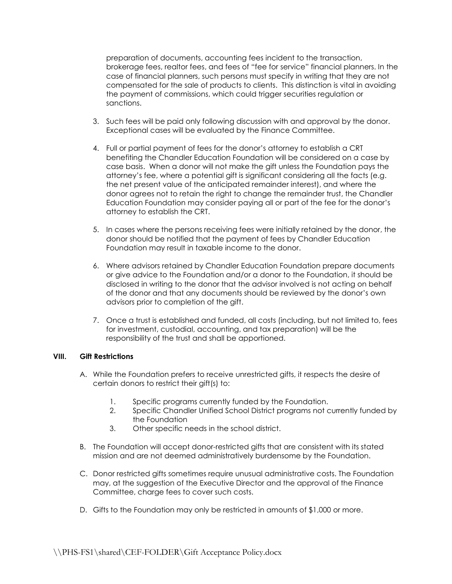preparation of documents, accounting fees incident to the transaction, brokerage fees, realtor fees, and fees of "fee for service" financial planners. In the case of financial planners, such persons must specify in writing that they are not compensated for the sale of products to clients. This distinction is vital in avoiding the payment of commissions, which could trigger securities regulation or sanctions.

- 3. Such fees will be paid only following discussion with and approval by the donor. Exceptional cases will be evaluated by the Finance Committee.
- 4. Full or partial payment of fees for the donor's attorney to establish a CRT benefiting the Chandler Education Foundation will be considered on a case by case basis. When a donor will not make the gift unless the Foundation pays the attorney's fee, where a potential gift is significant considering all the facts (e.g. the net present value of the anticipated remainder interest), and where the donor agrees not to retain the right to change the remainder trust, the Chandler Education Foundation may consider paying all or part of the fee for the donor's attorney to establish the CRT.
- 5. In cases where the persons receiving fees were initially retained by the donor, the donor should be notified that the payment of fees by Chandler Education Foundation may result in taxable income to the donor.
- 6. Where advisors retained by Chandler Education Foundation prepare documents or give advice to the Foundation and/or a donor to the Foundation, it should be disclosed in writing to the donor that the advisor involved is not acting on behalf of the donor and that any documents should be reviewed by the donor's own advisors prior to completion of the gift.
- 7. Once a trust is established and funded, all costs (including, but not limited to, fees for investment, custodial, accounting, and tax preparation) will be the responsibility of the trust and shall be apportioned.

#### VIII. Gift Restrictions

- A. While the Foundation prefers to receive unrestricted gifts, it respects the desire of certain donors to restrict their gift(s) to:
	- 1. Specific programs currently funded by the Foundation.
	- 2. Specific Chandler Unified School District programs not currently funded by the Foundation
	- 3. Other specific needs in the school district.
- B. The Foundation will accept donor-restricted gifts that are consistent with its stated mission and are not deemed administratively burdensome by the Foundation.
- C. Donor restricted gifts sometimes require unusual administrative costs. The Foundation may, at the suggestion of the Executive Director and the approval of the Finance Committee, charge fees to cover such costs.
- D. Gifts to the Foundation may only be restricted in amounts of \$1,000 or more.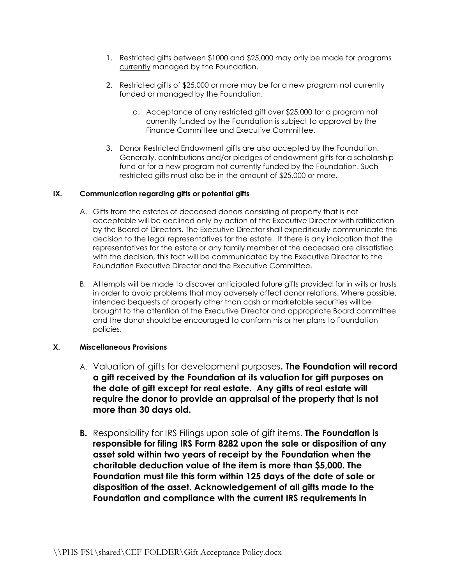- 1. Restricted gifts between \$1000 and \$25,000 may only be made for programs currently managed by the Foundation.
- 2. Restricted gifts of \$25,000 or more may be for a new program not currently funded or managed by the Foundation.
	- a. Acceptance of any restricted gift over \$25,000 for a program not currently funded by the Foundation is subject to approval by the Finance Committee and Executive Committee.
- 3. Donor Restricted Endowment gifts are also accepted by the Foundation. Generally, contributions and/or pledges of endowment gifts for a scholarship fund or for a new program not currently funded by the Foundation. Such restricted gifts must also be in the amount of \$25,000 or more.

## IX. Communication regarding gifts or potential gifts

- A. Gifts from the estates of deceased donors consisting of property that is not acceptable will be declined only by action of the Executive Director with ratification by the Board of Directors. The Executive Director shall expeditiously communicate this decision to the legal representatives for the estate. If there is any indication that the representatives for the estate or any family member of the deceased are dissatisfied with the decision, this fact will be communicated by the Executive Director to the Foundation Executive Director and the Executive Committee.
- B. Attempts will be made to discover anticipated future gifts provided for in wills or trusts in order to avoid problems that may adversely affect donor relations. Where possible, intended bequests of property other than cash or marketable securities will be brought to the attention of the Executive Director and appropriate Board committee and the donor should be encouraged to conform his or her plans to Foundation policies.

# X. Miscellaneous Provisions

- A. Valuation of gifts for development purposes. **The Foundation will record** a gift received by the Foundation at its valuation for gift purposes on the date of gift except for real estate. Any gifts of real estate will require the donor to provide an appraisal of the property that is not more than 30 days old.
- **B.** Responsibility for IRS Filings upon sale of gift items. **The Foundation is** responsible for filing IRS Form 8282 upon the sale or disposition of any asset sold within two years of receipt by the Foundation when the charitable deduction value of the item is more than \$5,000. The Foundation must file this form within 125 days of the date of sale or disposition of the asset. Acknowledgement of all gifts made to the Foundation and compliance with the current IRS requirements in